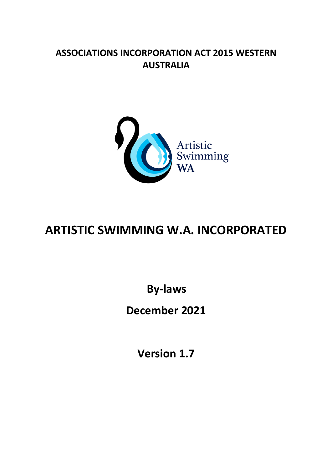# **ASSOCIATIONS INCORPORATION ACT 2015 WESTERN AUSTRALIA**



# **ARTISTIC SWIMMING W.A. INCORPORATED**

**By-laws**

# **December 2021**

**Version 1.7**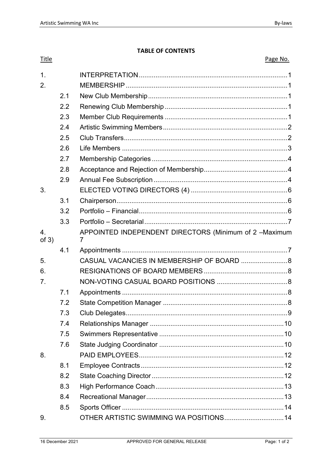**Title** 

### **TABLE OF CONTENTS**

### Page No.

| $\mathbf{1}$ . |     |                                                                          |  |
|----------------|-----|--------------------------------------------------------------------------|--|
| 2.             |     |                                                                          |  |
|                | 2.1 |                                                                          |  |
|                | 2.2 |                                                                          |  |
|                | 2.3 |                                                                          |  |
|                | 2.4 |                                                                          |  |
|                | 2.5 |                                                                          |  |
|                | 2.6 |                                                                          |  |
|                | 2.7 |                                                                          |  |
|                | 2.8 |                                                                          |  |
|                | 2.9 |                                                                          |  |
| 3.             |     |                                                                          |  |
|                | 3.1 |                                                                          |  |
|                | 3.2 |                                                                          |  |
|                | 3.3 |                                                                          |  |
| 4.<br>of 3)    |     | APPOINTED INDEPENDENT DIRECTORS (Minimum of 2 -Maximum<br>$\overline{7}$ |  |
|                | 4.1 |                                                                          |  |
| 5.             |     | CASUAL VACANCIES IN MEMBERSHIP OF BOARD  8                               |  |
| 6.             |     |                                                                          |  |
| 7.             |     |                                                                          |  |
|                | 7.1 |                                                                          |  |
|                | 7.2 |                                                                          |  |
|                | 7.3 |                                                                          |  |
|                | 7.4 |                                                                          |  |
|                | 7.5 |                                                                          |  |
|                | 7.6 |                                                                          |  |
| 8.             |     |                                                                          |  |
|                | 8.1 |                                                                          |  |
|                | 8.2 |                                                                          |  |
|                | 8.3 |                                                                          |  |
|                | 8.4 |                                                                          |  |
|                | 8.5 |                                                                          |  |
| 9.             |     | OTHER ARTISTIC SWIMMING WA POSITIONS 14                                  |  |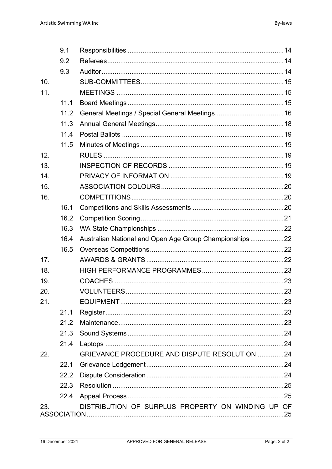|     | 9.1  |                                                        |  |
|-----|------|--------------------------------------------------------|--|
|     | 9.2  |                                                        |  |
|     | 9.3  |                                                        |  |
| 10. |      |                                                        |  |
| 11. |      |                                                        |  |
|     | 11.1 |                                                        |  |
|     | 11.2 |                                                        |  |
|     | 11.3 |                                                        |  |
|     | 11.4 |                                                        |  |
|     | 11.5 |                                                        |  |
| 12. |      |                                                        |  |
| 13. |      |                                                        |  |
| 14. |      |                                                        |  |
| 15. |      |                                                        |  |
| 16. |      |                                                        |  |
|     | 16.1 |                                                        |  |
|     | 16.2 |                                                        |  |
|     | 16.3 |                                                        |  |
|     | 16.4 | Australian National and Open Age Group Championships22 |  |
|     | 16.5 |                                                        |  |
| 17. |      |                                                        |  |
| 18. |      |                                                        |  |
| 19. |      |                                                        |  |
| 20. |      |                                                        |  |
| 21. |      |                                                        |  |
|     | 21.1 |                                                        |  |
|     | 21.2 |                                                        |  |
|     | 21.3 |                                                        |  |
|     | 21.4 |                                                        |  |
| 22. |      | GRIEVANCE PROCEDURE AND DISPUTE RESOLUTION 24          |  |
|     | 22.1 |                                                        |  |
|     | 22.2 |                                                        |  |
|     | 22.3 |                                                        |  |
|     | 22.4 |                                                        |  |
| 23. |      | DISTRIBUTION OF SURPLUS PROPERTY ON WINDING UP OF      |  |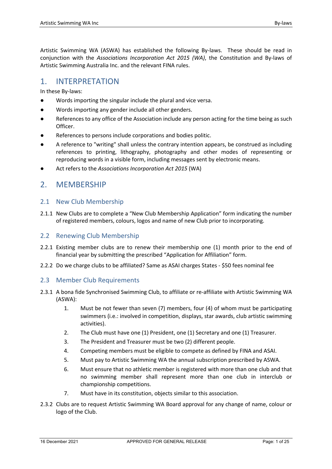Artistic Swimming WA (ASWA) has established the following By-laws. These should be read in conjunction with the *Associations Incorporation Act 2015 (WA)*, the Constitution and By-laws of Artistic Swimming Australia Inc. and the relevant FINA rules.

# 1. INTERPRETATION

In these By-laws:

- Words importing the singular include the plural and vice versa.
- Words importing any gender include all other genders.
- References to any office of the Association include any person acting for the time being as such Officer.
- References to persons include corporations and bodies politic.
- A reference to "writing" shall unless the contrary intention appears, be construed as including references to printing, lithography, photography and other modes of representing or reproducing words in a visible form, including messages sent by electronic means.
- Act refers to the *Associations Incorporation Act 2015* (WA)

### 2. MEMBERSHIP

#### 2.1 New Club Membership

2.1.1 New Clubs are to complete a "New Club Membership Application" form indicating the number of registered members, colours, logos and name of new Club prior to incorporating.

#### 2.2 Renewing Club Membership

- 2.2.1 Existing member clubs are to renew their membership one (1) month prior to the end of financial year by submitting the prescribed "Application for Affiliation" form.
- 2.2.2 Do we charge clubs to be affiliated? Same as ASAI charges States \$50 fees nominal fee

#### 2.3 Member Club Requirements

- 2.3.1 A bona fide Synchronised Swimming Club, to affiliate or re-affiliate with Artistic Swimming WA (ASWA):
	- 1. Must be not fewer than seven (7) members, four (4) of whom must be participating swimmers (i.e.: involved in competition, displays, star awards, club artistic swimming activities).
	- 2. The Club must have one (1) President, one (1) Secretary and one (1) Treasurer.
	- 3. The President and Treasurer must be two (2) different people.
	- 4. Competing members must be eligible to compete as defined by FINA and ASAI.
	- 5. Must pay to Artistic Swimming WA the annual subscription prescribed by ASWA.
	- 6. Must ensure that no athletic member is registered with more than one club and that no swimming member shall represent more than one club in interclub or championship competitions.
	- 7. Must have in its constitution, objects similar to this association.
- 2.3.2 Clubs are to request Artistic Swimming WA Board approval for any change of name, colour or logo of the Club.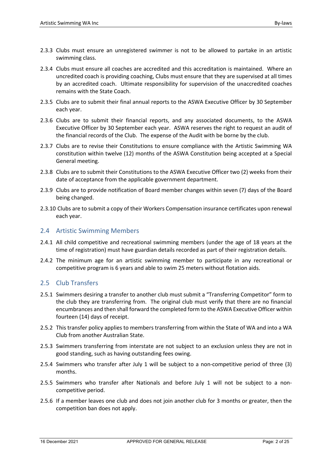- 2.3.3 Clubs must ensure an unregistered swimmer is not to be allowed to partake in an artistic swimming class.
- 2.3.4 Clubs must ensure all coaches are accredited and this accreditation is maintained. Where an uncredited coach is providing coaching, Clubs must ensure that they are supervised at all times by an accredited coach. Ultimate responsibility for supervision of the unaccredited coaches remains with the State Coach.
- 2.3.5 Clubs are to submit their final annual reports to the ASWA Executive Officer by 30 September each year.
- 2.3.6 Clubs are to submit their financial reports, and any associated documents, to the ASWA Executive Officer by 30 September each year. ASWA reserves the right to request an audit of the financial records of the Club. The expense of the Audit with be borne by the club.
- 2.3.7 Clubs are to revise their Constitutions to ensure compliance with the Artistic Swimming WA constitution within twelve (12) months of the ASWA Constitution being accepted at a Special General meeting.
- 2.3.8 Clubs are to submit their Constitutions to the ASWA Executive Officer two (2) weeks from their date of acceptance from the applicable government department.
- 2.3.9 Clubs are to provide notification of Board member changes within seven (7) days of the Board being changed.
- 2.3.10 Clubs are to submit a copy of their Workers Compensation insurance certificates upon renewal each year.

#### 2.4 Artistic Swimming Members

- 2.4.1 All child competitive and recreational swimming members (under the age of 18 years at the time of registration) must have guardian details recorded as part of their registration details.
- 2.4.2 The minimum age for an artistic swimming member to participate in any recreational or competitive program is 6 years and able to swim 25 meters without flotation aids.

### 2.5 Club Transfers

- 2.5.1 Swimmers desiring a transfer to another club must submit a "Transferring Competitor" form to the club they are transferring from. The original club must verify that there are no financial encumbrances and then shall forward the completed form to the ASWA Executive Officer within fourteen (14) days of receipt.
- 2.5.2 This transfer policy applies to members transferring from within the State of WA and into a WA Club from another Australian State.
- 2.5.3 Swimmers transferring from interstate are not subject to an exclusion unless they are not in good standing, such as having outstanding fees owing.
- 2.5.4 Swimmers who transfer after July 1 will be subject to a non-competitive period of three (3) months.
- 2.5.5 Swimmers who transfer after Nationals and before July 1 will not be subject to a noncompetitive period.
- 2.5.6 If a member leaves one club and does not join another club for 3 months or greater, then the competition ban does not apply.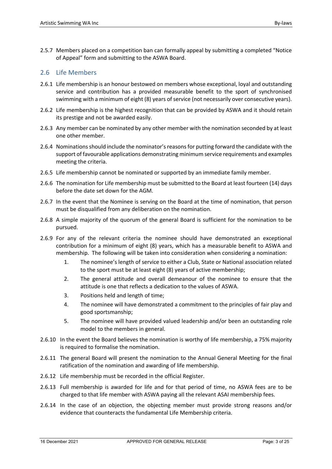2.5.7 Members placed on a competition ban can formally appeal by submitting a completed "Notice of Appeal" form and submitting to the ASWA Board.

#### 2.6 Life Members

- 2.6.1 Life membership is an honour bestowed on members whose exceptional, loyal and outstanding service and contribution has a provided measurable benefit to the sport of synchronised swimming with a minimum of eight (8) years of service (not necessarily over consecutive years).
- 2.6.2 Life membership is the highest recognition that can be provided by ASWA and it should retain its prestige and not be awarded easily.
- 2.6.3 Any member can be nominated by any other member with the nomination seconded by at least one other member.
- 2.6.4 Nominations should include the nominator's reasons for putting forward the candidate with the support of favourable applications demonstrating minimum service requirements and examples meeting the criteria.
- 2.6.5 Life membership cannot be nominated or supported by an immediate family member.
- 2.6.6 The nomination for Life membership must be submitted to the Board at least fourteen (14) days before the date set down for the AGM.
- 2.6.7 In the event that the Nominee is serving on the Board at the time of nomination, that person must be disqualified from any deliberation on the nomination.
- 2.6.8 A simple majority of the quorum of the general Board is sufficient for the nomination to be pursued.
- 2.6.9 For any of the relevant criteria the nominee should have demonstrated an exceptional contribution for a minimum of eight (8) years, which has a measurable benefit to ASWA and membership. The following will be taken into consideration when considering a nomination:
	- 1. The nominee's length of service to either a Club, State or National association related to the sport must be at least eight (8) years of active membership;
	- 2. The general attitude and overall demeanour of the nominee to ensure that the attitude is one that reflects a dedication to the values of ASWA.
	- 3. Positions held and length of time;
	- 4. The nominee will have demonstrated a commitment to the principles of fair play and good sportsmanship;
	- 5. The nominee will have provided valued leadership and/or been an outstanding role model to the members in general.
- 2.6.10 In the event the Board believes the nomination is worthy of life membership, a 75% majority is required to formalise the nomination.
- 2.6.11 The general Board will present the nomination to the Annual General Meeting for the final ratification of the nomination and awarding of life membership.
- 2.6.12 Life membership must be recorded in the official Register.
- 2.6.13 Full membership is awarded for life and for that period of time, no ASWA fees are to be charged to that life member with ASWA paying all the relevant ASAI membership fees.
- 2.6.14 In the case of an objection, the objecting member must provide strong reasons and/or evidence that counteracts the fundamental Life Membership criteria.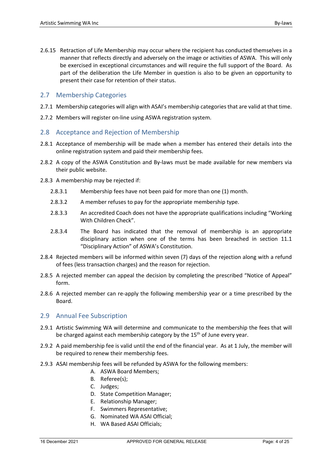2.6.15 Retraction of Life Membership may occur where the recipient has conducted themselves in a manner that reflects directly and adversely on the image or activities of ASWA. This will only be exercised in exceptional circumstances and will require the full support of the Board. As part of the deliberation the Life Member in question is also to be given an opportunity to present their case for retention of their status.

#### 2.7 Membership Categories

- 2.7.1 Membership categories will align with ASAI's membership categories that are valid at that time.
- 2.7.2 Members will register on-line using ASWA registration system.

#### 2.8 Acceptance and Rejection of Membership

- 2.8.1 Acceptance of membership will be made when a member has entered their details into the online registration system and paid their membership fees.
- 2.8.2 A copy of the ASWA Constitution and By-laws must be made available for new members via their public website.
- 2.8.3 A membership may be rejected if:
	- 2.8.3.1 Membership fees have not been paid for more than one (1) month.
	- 2.8.3.2 A member refuses to pay for the appropriate membership type.
	- 2.8.3.3 An accredited Coach does not have the appropriate qualifications including "Working With Children Check".
	- 2.8.3.4 The Board has indicated that the removal of membership is an appropriate disciplinary action when one of the terms has been breached in section 11.1 "Disciplinary Action" of ASWA's Constitution.
- 2.8.4 Rejected members will be informed within seven (7) days of the rejection along with a refund of fees (less transaction charges) and the reason for rejection.
- 2.8.5 A rejected member can appeal the decision by completing the prescribed "Notice of Appeal" form.
- 2.8.6 A rejected member can re-apply the following membership year or a time prescribed by the Board.

#### 2.9 Annual Fee Subscription

- 2.9.1 Artistic Swimming WA will determine and communicate to the membership the fees that will be charged against each membership category by the  $15<sup>th</sup>$  of June every year.
- 2.9.2 A paid membership fee is valid until the end of the financial year. As at 1 July, the member will be required to renew their membership fees.
- 2.9.3 ASAI membership fees will be refunded by ASWA for the following members:
	- A. ASWA Board Members;
	- B. Referee(s);
	- C. Judges;
	- D. State Competition Manager;
	- E. Relationship Manager;
	- F. Swimmers Representative;
	- G. Nominated WA ASAI Official;
	- H. WA Based ASAI Officials;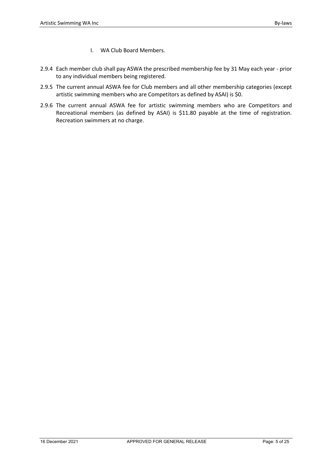- I. WA Club Board Members.
- 2.9.4 Each member club shall pay ASWA the prescribed membership fee by 31 May each year prior to any individual members being registered.
- 2.9.5 The current annual ASWA fee for Club members and all other membership categories (except artistic swimming members who are Competitors as defined by ASAI) is \$0.
- 2.9.6 The current annual ASWA fee for artistic swimming members who are Competitors and Recreational members (as defined by ASAI) is \$11.80 payable at the time of registration. Recreation swimmers at no charge.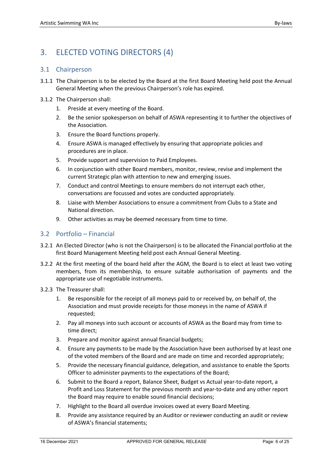# 3. ELECTED VOTING DIRECTORS (4)

#### 3.1 Chairperson

- 3.1.1 The Chairperson is to be elected by the Board at the first Board Meeting held post the Annual General Meeting when the previous Chairperson's role has expired.
- 3.1.2 The Chairperson shall:
	- 1. Preside at every meeting of the Board.
	- 2. Be the senior spokesperson on behalf of ASWA representing it to further the objectives of the Association.
	- 3. Ensure the Board functions properly.
	- 4. Ensure ASWA is managed effectively by ensuring that appropriate policies and procedures are in place.
	- 5. Provide support and supervision to Paid Employees.
	- 6. In conjunction with other Board members, monitor, review, revise and implement the current Strategic plan with attention to new and emerging issues.
	- 7. Conduct and control Meetings to ensure members do not interrupt each other, conversations are focussed and votes are conducted appropriately.
	- 8. Liaise with Member Associations to ensure a commitment from Clubs to a State and National direction.
	- 9. Other activities as may be deemed necessary from time to time.

#### 3.2 Portfolio – Financial

- 3.2.1 An Elected Director (who is not the Chairperson) is to be allocated the Financial portfolio at the first Board Management Meeting held post each Annual General Meeting.
- 3.2.2 At the first meeting of the board held after the AGM, the Board is to elect at least two voting members, from its membership, to ensure suitable authorisation of payments and the appropriate use of negotiable instruments.
- 3.2.3 The Treasurer shall:
	- 1. Be responsible for the receipt of all moneys paid to or received by, on behalf of, the Association and must provide receipts for those moneys in the name of ASWA if requested;
	- 2. Pay all moneys into such account or accounts of ASWA as the Board may from time to time direct;
	- 3. Prepare and monitor against annual financial budgets;
	- 4. Ensure any payments to be made by the Association have been authorised by at least one of the voted members of the Board and are made on time and recorded appropriately;
	- 5. Provide the necessary financial guidance, delegation, and assistance to enable the Sports Officer to administer payments to the expectations of the Board;
	- 6. Submit to the Board a report, Balance Sheet, Budget vs Actual year-to-date report, a Profit and Loss Statement for the previous month and year-to-date and any other report the Board may require to enable sound financial decisions;
	- 7. Highlight to the Board all overdue invoices owed at every Board Meeting.
	- 8. Provide any assistance required by an Auditor or reviewer conducting an audit or review of ASWA's financial statements;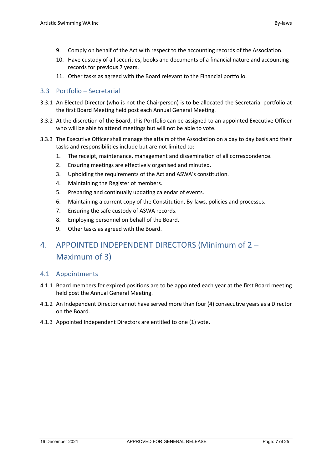- 9. Comply on behalf of the Act with respect to the accounting records of the Association.
- 10. Have custody of all securities, books and documents of a financial nature and accounting records for previous 7 years.
- 11. Other tasks as agreed with the Board relevant to the Financial portfolio.

#### 3.3 Portfolio – Secretarial

- 3.3.1 An Elected Director (who is not the Chairperson) is to be allocated the Secretarial portfolio at the first Board Meeting held post each Annual General Meeting.
- 3.3.2 At the discretion of the Board, this Portfolio can be assigned to an appointed Executive Officer who will be able to attend meetings but will not be able to vote.
- 3.3.3 The Executive Officer shall manage the affairs of the Association on a day to day basis and their tasks and responsibilities include but are not limited to:
	- 1. The receipt, maintenance, management and dissemination of all correspondence.
	- 2. Ensuring meetings are effectively organised and minuted.
	- 3. Upholding the requirements of the Act and ASWA's constitution.
	- 4. Maintaining the Register of members.
	- 5. Preparing and continually updating calendar of events.
	- 6. Maintaining a current copy of the Constitution, By-laws, policies and processes.
	- 7. Ensuring the safe custody of ASWA records.
	- 8. Employing personnel on behalf of the Board.
	- 9. Other tasks as agreed with the Board.

# 4. APPOINTED INDEPENDENT DIRECTORS (Minimum of 2 – Maximum of 3)

#### 4.1 Appointments

- 4.1.1 Board members for expired positions are to be appointed each year at the first Board meeting held post the Annual General Meeting.
- 4.1.2 An Independent Director cannot have served more than four (4) consecutive years as a Director on the Board.
- 4.1.3 Appointed Independent Directors are entitled to one (1) vote.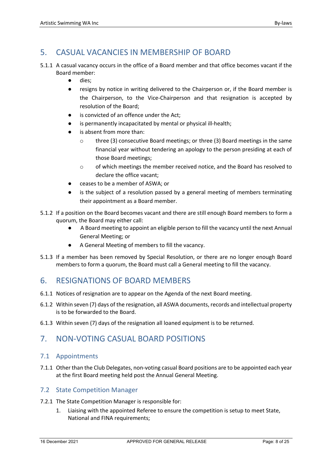# 5. CASUAL VACANCIES IN MEMBERSHIP OF BOARD

- 5.1.1 A casual vacancy occurs in the office of a Board member and that office becomes vacant if the Board member:
	- dies:
	- resigns by notice in writing delivered to the Chairperson or, if the Board member is the Chairperson, to the Vice-Chairperson and that resignation is accepted by resolution of the Board;
	- is convicted of an offence under the Act;
	- is permanently incapacitated by mental or physical ill-health;
	- is absent from more than:
		- o three (3) consecutive Board meetings; or three (3) Board meetings in the same financial year without tendering an apology to the person presiding at each of those Board meetings;
		- o of which meetings the member received notice, and the Board has resolved to declare the office vacant;
	- ceases to be a member of ASWA; or
	- is the subject of a resolution passed by a general meeting of members terminating their appointment as a Board member.
- 5.1.2 If a position on the Board becomes vacant and there are still enough Board members to form a quorum, the Board may either call:
	- A Board meeting to appoint an eligible person to fill the vacancy until the next Annual General Meeting; or
	- A General Meeting of members to fill the vacancy.
- 5.1.3 If a member has been removed by Special Resolution, or there are no longer enough Board members to form a quorum, the Board must call a General meeting to fill the vacancy.

# 6. RESIGNATIONS OF BOARD MEMBERS

- 6.1.1 Notices of resignation are to appear on the Agenda of the next Board meeting.
- 6.1.2 Within seven (7) days of the resignation, all ASWA documents, records and intellectual property is to be forwarded to the Board.
- 6.1.3 Within seven (7) days of the resignation all loaned equipment is to be returned.

# 7. NON-VOTING CASUAL BOARD POSITIONS

### 7.1 Appointments

7.1.1 Other than the Club Delegates, non-voting casual Board positions are to be appointed each year at the first Board meeting held post the Annual General Meeting.

### 7.2 State Competition Manager

- 7.2.1 The State Competition Manager is responsible for:
	- 1. Liaising with the appointed Referee to ensure the competition is setup to meet State, National and FINA requirements;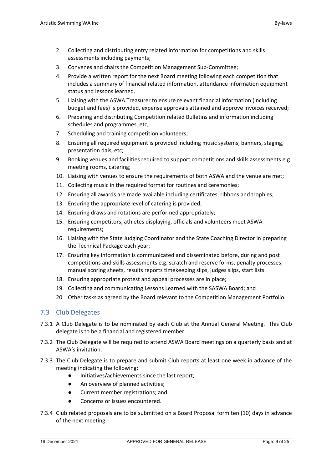- 2. Collecting and distributing entry related information for competitions and skills assessments including payments;
- 3. Convenes and chairs the Competition Management Sub-Committee;
- 4. Provide a written report for the next Board meeting following each competition that includes a summary of financial related information, attendance information equipment status and lessons learned.
- 5. Liaising with the ASWA Treasurer to ensure relevant financial information (including budget and fees) is provided, expense approvals attained and approve invoices received;
- 6. Preparing and distributing Competition related Bulletins and information including schedules and programmes, etc;
- 7. Scheduling and training competition volunteers;
- 8. Ensuring all required equipment is provided including music systems, banners, staging, presentation dais, etc;
- 9. Booking venues and facilities required to support competitions and skills assessments e.g. meeting rooms, catering;
- 10. Liaising with venues to ensure the requirements of both ASWA and the venue are met;
- 11. Collecting music in the required format for routines and ceremonies;
- 12. Ensuring all awards are made available including certificates, ribbons and trophies;
- 13. Ensuring the appropriate level of catering is provided;
- 14. Ensuring draws and rotations are performed appropriately;
- 15. Ensuring competitors, athletes displaying, officials and volunteers meet ASWA requirements;
- 16. Liaising with the State Judging Coordinator and the State Coaching Director in preparing the Technical Package each year;
- 17. Ensuring key information is communicated and disseminated before, during and post competitions and skills assessments e.g. scratch and reserve forms, penalty processes; manual scoring sheets, results reports timekeeping slips, judges slips, start lists
- 18. Ensuring appropriate protest and appeal processes are in place;
- 19. Collecting and communicating Lessons Learned with the SASWA Board; and
- 20. Other tasks as agreed by the Board relevant to the Competition Management Portfolio.

#### 7.3 Club Delegates

- 7.3.1 A Club Delegate is to be nominated by each Club at the Annual General Meeting. This Club delegate is to be a financial and registered member.
- 7.3.2 The Club Delegate will be required to attend ASWA Board meetings on a quarterly basis and at ASWA's invitation.
- 7.3.3 The Club Delegate is to prepare and submit Club reports at least one week in advance of the meeting indicating the following:
	- Initiatives/achievements since the last report;
	- An overview of planned activities;
	- Current member registrations; and
	- Concerns or issues encountered.
- 7.3.4 Club related proposals are to be submitted on a Board Proposal form ten (10) days in advance of the next meeting.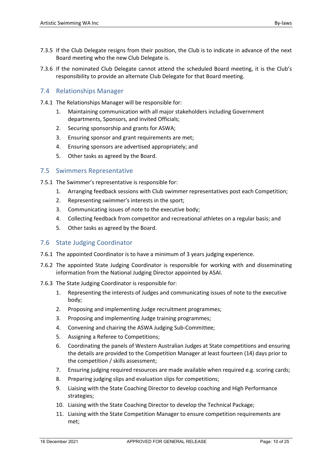- 7.3.5 If the Club Delegate resigns from their position, the Club is to indicate in advance of the next Board meeting who the new Club Delegate is.
- 7.3.6 If the nominated Club Delegate cannot attend the scheduled Board meeting, it is the Club's responsibility to provide an alternate Club Delegate for that Board meeting.

#### 7.4 Relationships Manager

- 7.4.1 The Relationships Manager will be responsible for:
	- 1. Maintaining communication with all major stakeholders including Government departments, Sponsors, and invited Officials;
	- 2. Securing sponsorship and grants for ASWA;
	- 3. Ensuring sponsor and grant requirements are met;
	- 4. Ensuring sponsors are advertised appropriately; and
	- 5. Other tasks as agreed by the Board.

#### 7.5 Swimmers Representative

- 7.5.1 The Swimmer's representative is responsible for:
	- 1. Arranging feedback sessions with Club swimmer representatives post each Competition;
	- 2. Representing swimmer's interests in the sport;
	- 3. Communicating issues of note to the executive body;
	- 4. Collecting feedback from competitor and recreational athletes on a regular basis; and
	- 5. Other tasks as agreed by the Board.

#### 7.6 State Judging Coordinator

- 7.6.1 The appointed Coordinator is to have a minimum of 3 years judging experience.
- 7.6.2 The appointed State Judging Coordinator is responsible for working with and disseminating information from the National Judging Director appointed by ASAI.
- 7.6.3 The State Judging Coordinator is responsible for:
	- 1. Representing the interests of Judges and communicating issues of note to the executive body;
	- 2. Proposing and implementing Judge recruitment programmes;
	- 3. Proposing and implementing Judge training programmes;
	- 4. Convening and chairing the ASWA Judging Sub-Committee;
	- 5. Assigning a Referee to Competitions;
	- 6. Coordinating the panels of Western Australian Judges at State competitions and ensuring the details are provided to the Competition Manager at least fourteen (14) days prior to the competition / skills assessment;
	- 7. Ensuring judging required resources are made available when required e.g. scoring cards;
	- 8. Preparing judging slips and evaluation slips for competitions;
	- 9. Liaising with the State Coaching Director to develop coaching and High Performance strategies;
	- 10. Liaising with the State Coaching Director to develop the Technical Package;
	- 11. Liaising with the State Competition Manager to ensure competition requirements are met;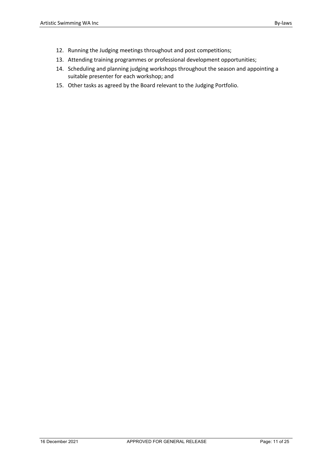- 12. Running the Judging meetings throughout and post competitions;
- 13. Attending training programmes or professional development opportunities;
- 14. Scheduling and planning judging workshops throughout the season and appointing a suitable presenter for each workshop; and
- 15. Other tasks as agreed by the Board relevant to the Judging Portfolio.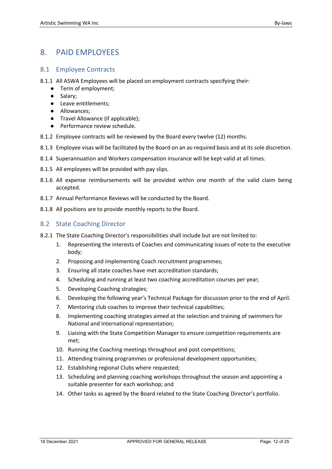# 8. PAID EMPLOYEES

#### 8.1 Employee Contracts

- 8.1.1 All ASWA Employees will be placed on employment contracts specifying their:
	- Term of employment;
	- Salary;
	- Leave entitlements;
	- Allowances;
	- Travel Allowance (if applicable);
	- Performance review schedule.
- 8.1.2 Employee contracts will be reviewed by the Board every twelve (12) months.
- 8.1.3 Employee visas will be facilitated by the Board on an as-required basis and at its sole discretion.
- 8.1.4 Superannuation and Workers compensation insurance will be kept valid at all times.
- 8.1.5 All employees will be provided with pay slips.
- 8.1.6 All expense reimbursements will be provided within one month of the valid claim being accepted.
- 8.1.7 Annual Performance Reviews will be conducted by the Board.
- 8.1.8 All positions are to provide monthly reports to the Board.

#### 8.2 State Coaching Director

- 8.2.1 The State Coaching Director's responsibilities shall include but are not limited to:
	- 1. Representing the interests of Coaches and communicating issues of note to the executive body;
	- 2. Proposing and implementing Coach recruitment programmes;
	- 3. Ensuring all state coaches have met accreditation standards;
	- 4. Scheduling and running at least two coaching accreditation courses per year;
	- 5. Developing Coaching strategies;
	- 6. Developing the following year's Technical Package for discussion prior to the end of April.
	- 7. Mentoring club coaches to improve their technical capabilities;
	- 8. Implementing coaching strategies aimed at the selection and training of swimmers for National and International representation;
	- 9. Liaising with the State Competition Manager to ensure competition requirements are met;
	- 10. Running the Coaching meetings throughout and post competitions;
	- 11. Attending training programmes or professional development opportunities;
	- 12. Establishing regional Clubs where requested;
	- 13. Scheduling and planning coaching workshops throughout the season and appointing a suitable presenter for each workshop; and
	- 14. Other tasks as agreed by the Board related to the State Coaching Director's portfolio.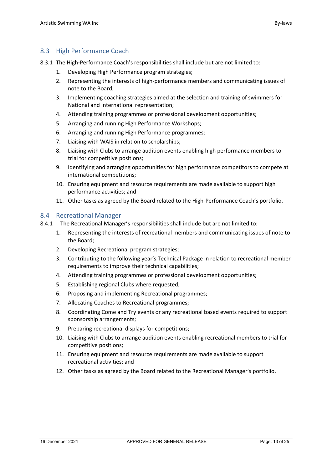### 8.3 High Performance Coach

- 8.3.1 The High-Performance Coach's responsibilities shall include but are not limited to:
	- 1. Developing High Performance program strategies;
	- 2. Representing the interests of high-performance members and communicating issues of note to the Board;
	- 3. Implementing coaching strategies aimed at the selection and training of swimmers for National and International representation;
	- 4. Attending training programmes or professional development opportunities;
	- 5. Arranging and running High Performance Workshops;
	- 6. Arranging and running High Performance programmes;
	- 7. Liaising with WAIS in relation to scholarships;
	- 8. Liaising with Clubs to arrange audition events enabling high performance members to trial for competitive positions;
	- 9. Identifying and arranging opportunities for high performance competitors to compete at international competitions;
	- 10. Ensuring equipment and resource requirements are made available to support high performance activities; and
	- 11. Other tasks as agreed by the Board related to the High-Performance Coach's portfolio.

#### 8.4 Recreational Manager

- 8.4.1 The Recreational Manager's responsibilities shall include but are not limited to:
	- 1. Representing the interests of recreational members and communicating issues of note to the Board;
	- 2. Developing Recreational program strategies;
	- 3. Contributing to the following year's Technical Package in relation to recreational member requirements to improve their technical capabilities;
	- 4. Attending training programmes or professional development opportunities;
	- 5. Establishing regional Clubs where requested;
	- 6. Proposing and implementing Recreational programmes;
	- 7. Allocating Coaches to Recreational programmes;
	- 8. Coordinating Come and Try events or any recreational based events required to support sponsorship arrangements;
	- 9. Preparing recreational displays for competitions;
	- 10. Liaising with Clubs to arrange audition events enabling recreational members to trial for competitive positions;
	- 11. Ensuring equipment and resource requirements are made available to support recreational activities; and
	- 12. Other tasks as agreed by the Board related to the Recreational Manager's portfolio.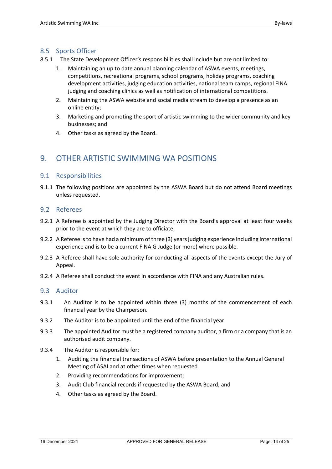#### 8.5 Sports Officer

- 8.5.1 The State Development Officer's responsibilities shall include but are not limited to:
	- 1. Maintaining an up to date annual planning calendar of ASWA events, meetings, competitions, recreational programs, school programs, holiday programs, coaching development activities, judging education activities, national team camps, regional FINA judging and coaching clinics as well as notification of international competitions.
	- 2. Maintaining the ASWA website and social media stream to develop a presence as an online entity;
	- 3. Marketing and promoting the sport of artistic swimming to the wider community and key businesses; and
	- 4. Other tasks as agreed by the Board.

# 9. OTHER ARTISTIC SWIMMING WA POSITIONS

#### 9.1 Responsibilities

9.1.1 The following positions are appointed by the ASWA Board but do not attend Board meetings unless requested.

#### 9.2 Referees

- 9.2.1 A Referee is appointed by the Judging Director with the Board's approval at least four weeks prior to the event at which they are to officiate;
- 9.2.2 A Referee is to have had a minimum of three (3) years judging experience including international experience and is to be a current FINA G Judge (or more) where possible.
- 9.2.3 A Referee shall have sole authority for conducting all aspects of the events except the Jury of Appeal.
- 9.2.4 A Referee shall conduct the event in accordance with FINA and any Australian rules.

#### 9.3 Auditor

- 9.3.1 An Auditor is to be appointed within three (3) months of the commencement of each financial year by the Chairperson.
- 9.3.2 The Auditor is to be appointed until the end of the financial year.
- 9.3.3 The appointed Auditor must be a registered company auditor, a firm or a company that is an authorised audit company.
- 9.3.4 The Auditor is responsible for:
	- 1. Auditing the financial transactions of ASWA before presentation to the Annual General Meeting of ASAI and at other times when requested.
	- 2. Providing recommendations for improvement;
	- 3. Audit Club financial records if requested by the ASWA Board; and
	- 4. Other tasks as agreed by the Board.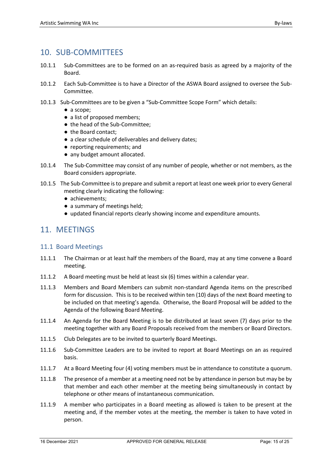# 10. SUB-COMMITTEES

- 10.1.1 Sub-Committees are to be formed on an as-required basis as agreed by a majority of the Board.
- 10.1.2 Each Sub-Committee is to have a Director of the ASWA Board assigned to oversee the Sub-Committee.
- 10.1.3 Sub-Committees are to be given a "Sub-Committee Scope Form" which details:
	- a scope;
	- a list of proposed members;
	- the head of the Sub-Committee;
	- the Board contact:
	- a clear schedule of deliverables and delivery dates;
	- reporting requirements; and
	- any budget amount allocated.
- 10.1.4 The Sub-Committee may consist of any number of people, whether or not members, as the Board considers appropriate.
- 10.1.5 The Sub-Committee is to prepare and submit a report at least one week prior to every General meeting clearly indicating the following:
	- achievements;
	- a summary of meetings held;
	- updated financial reports clearly showing income and expenditure amounts.

### 11. MEETINGS

#### 11.1 Board Meetings

- 11.1.1 The Chairman or at least half the members of the Board, may at any time convene a Board meeting.
- 11.1.2 A Board meeting must be held at least six (6) times within a calendar year.
- 11.1.3 Members and Board Members can submit non-standard Agenda items on the prescribed form for discussion. This is to be received within ten (10) days of the next Board meeting to be included on that meeting's agenda. Otherwise, the Board Proposal will be added to the Agenda of the following Board Meeting.
- 11.1.4 An Agenda for the Board Meeting is to be distributed at least seven (7) days prior to the meeting together with any Board Proposals received from the members or Board Directors.
- 11.1.5 Club Delegates are to be invited to quarterly Board Meetings.
- 11.1.6 Sub-Committee Leaders are to be invited to report at Board Meetings on an as required basis.
- 11.1.7 At a Board Meeting four (4) voting members must be in attendance to constitute a quorum.
- 11.1.8 The presence of a member at a meeting need not be by attendance in person but may be by that member and each other member at the meeting being simultaneously in contact by telephone or other means of instantaneous communication.
- 11.1.9 A member who participates in a Board meeting as allowed is taken to be present at the meeting and, if the member votes at the meeting, the member is taken to have voted in person.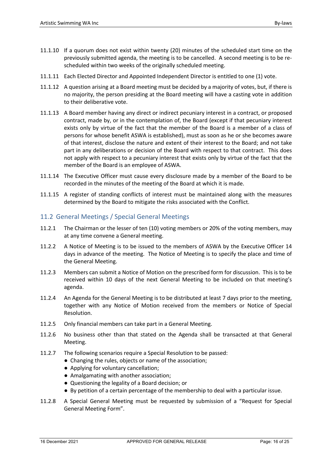- 11.1.10 If a quorum does not exist within twenty (20) minutes of the scheduled start time on the previously submitted agenda, the meeting is to be cancelled. A second meeting is to be rescheduled within two weeks of the originally scheduled meeting.
- 11.1.11 Each Elected Director and Appointed Independent Director is entitled to one (1) vote.
- 11.1.12 A question arising at a Board meeting must be decided by a majority of votes, but, if there is no majority, the person presiding at the Board meeting will have a casting vote in addition to their deliberative vote.
- 11.1.13 A Board member having any direct or indirect pecuniary interest in a contract, or proposed contract, made by, or in the contemplation of, the Board (except if that pecuniary interest exists only by virtue of the fact that the member of the Board is a member of a class of persons for whose benefit ASWA is established), must as soon as he or she becomes aware of that interest, disclose the nature and extent of their interest to the Board; and not take part in any deliberations or decision of the Board with respect to that contract. This does not apply with respect to a pecuniary interest that exists only by virtue of the fact that the member of the Board is an employee of ASWA.
- 11.1.14 The Executive Officer must cause every disclosure made by a member of the Board to be recorded in the minutes of the meeting of the Board at which it is made.
- 11.1.15 A register of standing conflicts of interest must be maintained along with the measures determined by the Board to mitigate the risks associated with the Conflict.

### 11.2 General Meetings / Special General Meetings

- 11.2.1 The Chairman or the lesser of ten (10) voting members or 20% of the voting members, may at any time convene a General meeting.
- 11.2.2 A Notice of Meeting is to be issued to the members of ASWA by the Executive Officer 14 days in advance of the meeting. The Notice of Meeting is to specify the place and time of the General Meeting.
- 11.2.3 Members can submit a Notice of Motion on the prescribed form for discussion. This is to be received within 10 days of the next General Meeting to be included on that meeting's agenda.
- 11.2.4 An Agenda for the General Meeting is to be distributed at least 7 days prior to the meeting, together with any Notice of Motion received from the members or Notice of Special Resolution.
- 11.2.5 Only financial members can take part in a General Meeting.
- 11.2.6 No business other than that stated on the Agenda shall be transacted at that General Meeting.
- 11.2.7 The following scenarios require a Special Resolution to be passed:
	- Changing the rules, objects or name of the association;
	- Applying for voluntary cancellation;
	- Amalgamating with another association;
	- Questioning the legality of a Board decision; or
	- By petition of a certain percentage of the membership to deal with a particular issue.
- 11.2.8 A Special General Meeting must be requested by submission of a "Request for Special General Meeting Form".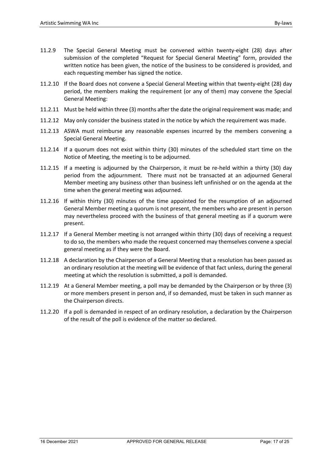- 11.2.9 The Special General Meeting must be convened within twenty-eight (28) days after submission of the completed "Request for Special General Meeting" form, provided the written notice has been given, the notice of the business to be considered is provided, and each requesting member has signed the notice.
- 11.2.10 If the Board does not convene a Special General Meeting within that twenty-eight (28) day period, the members making the requirement (or any of them) may convene the Special General Meeting:
- 11.2.11 Must be held within three (3) months after the date the original requirement was made; and
- 11.2.12 May only consider the business stated in the notice by which the requirement was made.
- 11.2.13 ASWA must reimburse any reasonable expenses incurred by the members convening a Special General Meeting.
- 11.2.14 If a quorum does not exist within thirty (30) minutes of the scheduled start time on the Notice of Meeting, the meeting is to be adjourned.
- 11.2.15 If a meeting is adjourned by the Chairperson, it must be re-held within a thirty (30) day period from the adjournment. There must not be transacted at an adjourned General Member meeting any business other than business left unfinished or on the agenda at the time when the general meeting was adjourned.
- 11.2.16 If within thirty (30) minutes of the time appointed for the resumption of an adjourned General Member meeting a quorum is not present, the members who are present in person may nevertheless proceed with the business of that general meeting as if a quorum were present.
- 11.2.17 If a General Member meeting is not arranged within thirty (30) days of receiving a request to do so, the members who made the request concerned may themselves convene a special general meeting as if they were the Board.
- 11.2.18 A declaration by the Chairperson of a General Meeting that a resolution has been passed as an ordinary resolution at the meeting will be evidence of that fact unless, during the general meeting at which the resolution is submitted, a poll is demanded.
- 11.2.19 At a General Member meeting, a poll may be demanded by the Chairperson or by three (3) or more members present in person and, if so demanded, must be taken in such manner as the Chairperson directs.
- 11.2.20 If a poll is demanded in respect of an ordinary resolution, a declaration by the Chairperson of the result of the poll is evidence of the matter so declared.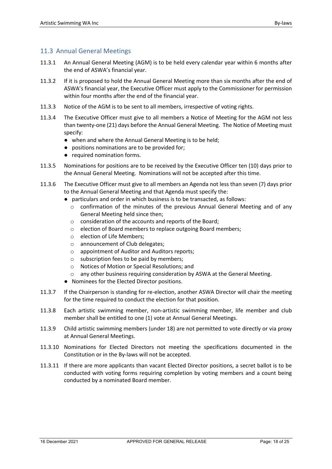### 11.3 Annual General Meetings

- 11.3.1 An Annual General Meeting (AGM) is to be held every calendar year within 6 months after the end of ASWA's financial year.
- 11.3.2 If it is proposed to hold the Annual General Meeting more than six months after the end of ASWA's financial year, the Executive Officer must apply to the Commissioner for permission within four months after the end of the financial year.
- 11.3.3 Notice of the AGM is to be sent to all members, irrespective of voting rights.
- 11.3.4 The Executive Officer must give to all members a Notice of Meeting for the AGM not less than twenty-one (21) days before the Annual General Meeting. The Notice of Meeting must specify:
	- when and where the Annual General Meeting is to be held;
	- positions nominations are to be provided for;
	- required nomination forms.
- 11.3.5 Nominations for positions are to be received by the Executive Officer ten (10) days prior to the Annual General Meeting. Nominations will not be accepted after this time.
- 11.3.6 The Executive Officer must give to all members an Agenda not less than seven (7) days prior to the Annual General Meeting and that Agenda must specify the:
	- particulars and order in which business is to be transacted, as follows:
		- $\circ$  confirmation of the minutes of the previous Annual General Meeting and of any General Meeting held since then;
		- o consideration of the accounts and reports of the Board;
		- o election of Board members to replace outgoing Board members;
		- o election of Life Members;
		- o announcement of Club delegates;
		- o appointment of Auditor and Auditors reports;
		- o subscription fees to be paid by members;
		- o Notices of Motion or Special Resolutions; and
		- o any other business requiring consideration by ASWA at the General Meeting.
	- Nominees for the Elected Director positions.
- 11.3.7 If the Chairperson is standing for re-election, another ASWA Director will chair the meeting for the time required to conduct the election for that position.
- 11.3.8 Each artistic swimming member, non-artistic swimming member, life member and club member shall be entitled to one (1) vote at Annual General Meetings.
- 11.3.9 Child artistic swimming members (under 18) are not permitted to vote directly or via proxy at Annual General Meetings.
- 11.3.10 Nominations for Elected Directors not meeting the specifications documented in the Constitution or in the By-laws will not be accepted.
- 11.3.11 If there are more applicants than vacant Elected Director positions, a secret ballot is to be conducted with voting forms requiring completion by voting members and a count being conducted by a nominated Board member.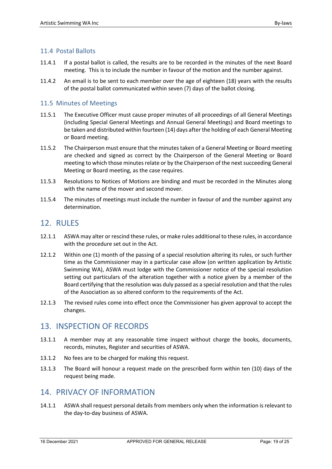### 11.4 Postal Ballots

- 11.4.1 If a postal ballot is called, the results are to be recorded in the minutes of the next Board meeting. This is to include the number in favour of the motion and the number against.
- 11.4.2 An email is to be sent to each member over the age of eighteen (18) years with the results of the postal ballot communicated within seven (7) days of the ballot closing.

#### 11.5 Minutes of Meetings

- 11.5.1 The Executive Officer must cause proper minutes of all proceedings of all General Meetings (including Special General Meetings and Annual General Meetings) and Board meetings to be taken and distributed within fourteen (14) days after the holding of each General Meeting or Board meeting.
- 11.5.2 The Chairperson must ensure that the minutes taken of a General Meeting or Board meeting are checked and signed as correct by the Chairperson of the General Meeting or Board meeting to which those minutes relate or by the Chairperson of the next succeeding General Meeting or Board meeting, as the case requires.
- 11.5.3 Resolutions to Notices of Motions are binding and must be recorded in the Minutes along with the name of the mover and second mover.
- 11.5.4 The minutes of meetings must include the number in favour of and the number against any determination.

### 12. RULES

- 12.1.1 ASWA may alter or rescind these rules, or make rules additional to these rules, in accordance with the procedure set out in the Act.
- 12.1.2 Within one (1) month of the passing of a special resolution altering its rules, or such further time as the Commissioner may in a particular case allow (on written application by Artistic Swimming WA), ASWA must lodge with the Commissioner notice of the special resolution setting out particulars of the alteration together with a notice given by a member of the Board certifying that the resolution was duly passed as a special resolution and that the rules of the Association as so altered conform to the requirements of the Act.
- 12.1.3 The revised rules come into effect once the Commissioner has given approval to accept the changes.

### 13. INSPECTION OF RECORDS

- 13.1.1 A member may at any reasonable time inspect without charge the books, documents, records, minutes, Register and securities of ASWA.
- 13.1.2 No fees are to be charged for making this request.
- 13.1.3 The Board will honour a request made on the prescribed form within ten (10) days of the request being made.

### 14. PRIVACY OF INFORMATION

14.1.1 ASWA shall request personal details from members only when the information is relevant to the day-to-day business of ASWA.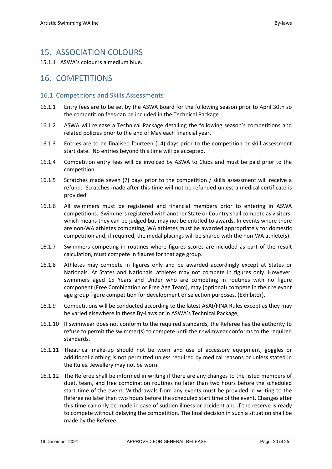# 15. ASSOCIATION COLOURS

15.1.1 ASWA's colour is a medium blue.

## 16. COMPETITIONS

#### 16.1 Competitions and Skills Assessments

- 16.1.1 Entry fees are to be set by the ASWA Board for the following season prior to April 30th so the competition fees can be included in the Technical Package.
- 16.1.2 ASWA will release a Technical Package detailing the following season's competitions and related policies prior to the end of May each financial year.
- 16.1.3 Entries are to be finalised fourteen (14) days prior to the competition or skill assessment start date. No entries beyond this time will be accepted.
- 16.1.4 Competition entry fees will be invoiced by ASWA to Clubs and must be paid prior to the competition.
- 16.1.5 Scratches made seven (7) days prior to the competition / skills assessment will receive a refund. Scratches made after this time will not be refunded unless a medical certificate is provided.
- 16.1.6 All swimmers must be registered and financial members prior to entering in ASWA competitions. Swimmers registered with another State or Country shall compete as visitors, which means they can be judged but may not be entitled to awards. In events where there are non-WA athletes competing, WA athletes must be awarded appropriately for domestic competition and, if required, the medal placings will be shared with the non-WA athlete(s).
- 16.1.7 Swimmers competing in routines where figures scores are included as part of the result calculation, must compete in figures for that age group.
- 16.1.8 Athletes may compete in figures only and be awarded accordingly except at States or Nationals. At States and Nationals, athletes may not compete in figures only. However, swimmers aged 15 Years and Under who are competing in routines with no figure component (Free Combination or Free Age Team), may (optional) compete in their relevant age group figure competition for development or selection purposes. (Exhibitor).
- 16.1.9 Competitions will be conducted according to the latest ASAI/FINA Rules except as they may be varied elsewhere in these By-Laws or in ASWA's Technical Package,
- 16.1.10 If swimwear does not conform to the required standards, the Referee has the authority to refuse to permit the swimmer(s) to compete until their swimwear conforms to the required standards.
- 16.1.11 Theatrical make-up should not be worn and use of accessory equipment, goggles or additional clothing is not permitted unless required by medical reasons or unless stated in the Rules. Jewellery may not be worn.
- 16.1.12 The Referee shall be informed in writing if there are any changes to the listed members of duet, team, and free combination routines no later than two hours before the scheduled start time of the event. Withdrawals from any events must be provided in writing to the Referee no later than two hours before the scheduled start time of the event. Changes after this time can only be made in case of sudden illness or accident and if the reserve is ready to compete without delaying the competition. The final decision in such a situation shall be made by the Referee.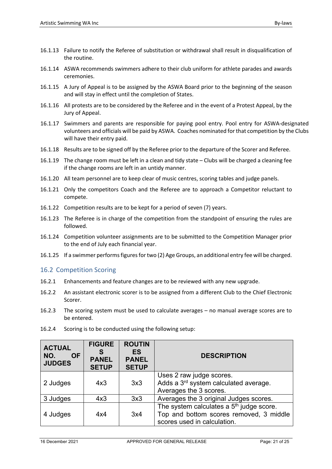- 16.1.13 Failure to notify the Referee of substitution or withdrawal shall result in disqualification of the routine.
- 16.1.14 ASWA recommends swimmers adhere to their club uniform for athlete parades and awards ceremonies.
- 16.1.15 A Jury of Appeal is to be assigned by the ASWA Board prior to the beginning of the season and will stay in effect until the completion of States.
- 16.1.16 All protests are to be considered by the Referee and in the event of a Protest Appeal, by the Jury of Appeal.
- 16.1.17 Swimmers and parents are responsible for paying pool entry. Pool entry for ASWA-designated volunteers and officials will be paid by ASWA. Coaches nominated for that competition by the Clubs will have their entry paid.
- 16.1.18 Results are to be signed off by the Referee prior to the departure of the Scorer and Referee.
- 16.1.19 The change room must be left in a clean and tidy state Clubs will be charged a cleaning fee if the change rooms are left in an untidy manner.
- 16.1.20 All team personnel are to keep clear of music centres, scoring tables and judge panels.
- 16.1.21 Only the competitors Coach and the Referee are to approach a Competitor reluctant to compete.
- 16.1.22 Competition results are to be kept for a period of seven (7) years.
- 16.1.23 The Referee is in charge of the competition from the standpoint of ensuring the rules are followed.
- 16.1.24 Competition volunteer assignments are to be submitted to the Competition Manager prior to the end of July each financial year.
- 16.1.25 If a swimmer performs figures for two (2) Age Groups, an additional entry fee will be charged.

### 16.2 Competition Scoring

- 16.2.1 Enhancements and feature changes are to be reviewed with any new upgrade.
- 16.2.2 An assistant electronic scorer is to be assigned from a different Club to the Chief Electronic Scorer.
- 16.2.3 The scoring system must be used to calculate averages no manual average scores are to be entered.
- 16.2.4 Scoring is to be conducted using the following setup:

| <b>ACTUAL</b><br>NO.<br><b>OF</b><br><b>JUDGES</b> | <b>FIGURE</b><br>S<br><b>PANEL</b><br><b>SETUP</b> | <b>ROUTIN</b><br><b>ES</b><br><b>PANEL</b><br><b>SETUP</b> | <b>DESCRIPTION</b>                                                                                                             |
|----------------------------------------------------|----------------------------------------------------|------------------------------------------------------------|--------------------------------------------------------------------------------------------------------------------------------|
| 2 Judges                                           | 4x3                                                | 3x3                                                        | Uses 2 raw judge scores.<br>Adds a 3 <sup>rd</sup> system calculated average.<br>Averages the 3 scores.                        |
| 3 Judges                                           | 4x3                                                | 3x3                                                        | Averages the 3 original Judges scores.                                                                                         |
| 4 Judges                                           | 4x4                                                | 3x4                                                        | The system calculates a 5 <sup>th</sup> judge score.<br>Top and bottom scores removed, 3 middle<br>scores used in calculation. |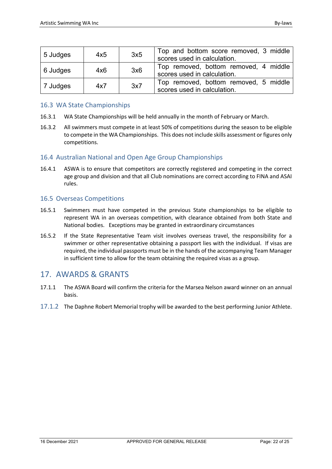| 5 Judges | 4x5 | 3x5 | Top and bottom score removed, 3 middle<br>scores used in calculation. |
|----------|-----|-----|-----------------------------------------------------------------------|
| 6 Judges | 4x6 | 3x6 | Top removed, bottom removed, 4 middle<br>scores used in calculation.  |
| 7 Judges | 4x7 | 3x7 | Top removed, bottom removed, 5 middle<br>scores used in calculation.  |

#### 16.3 WA State Championships

- 16.3.1 WA State Championships will be held annually in the month of February or March.
- 16.3.2 All swimmers must compete in at least 50% of competitions during the season to be eligible to compete in the WA Championships. This does not include skills assessment or figures only competitions.

#### 16.4 Australian National and Open Age Group Championships

16.4.1 ASWA is to ensure that competitors are correctly registered and competing in the correct age group and division and that all Club nominations are correct according to FINA and ASAI rules.

#### 16.5 Overseas Competitions

- 16.5.1 Swimmers must have competed in the previous State championships to be eligible to represent WA in an overseas competition, with clearance obtained from both State and National bodies. Exceptions may be granted in extraordinary circumstances
- 16.5.2 If the State Representative Team visit involves overseas travel, the responsibility for a swimmer or other representative obtaining a passport lies with the individual. If visas are required, the individual passports must be in the hands of the accompanying Team Manager in sufficient time to allow for the team obtaining the required visas as a group.

### 17. AWARDS & GRANTS

- 17.1.1 The ASWA Board will confirm the criteria for the Marsea Nelson award winner on an annual basis.
- 17.1.2 The Daphne Robert Memorial trophy will be awarded to the best performing Junior Athlete.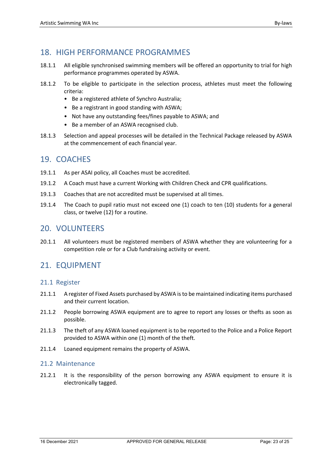# 18. HIGH PERFORMANCE PROGRAMMES

- 18.1.1 All eligible synchronised swimming members will be offered an opportunity to trial for high performance programmes operated by ASWA.
- 18.1.2 To be eligible to participate in the selection process, athletes must meet the following criteria:
	- Be a registered athlete of Synchro Australia;
	- Be a registrant in good standing with ASWA;
	- Not have any outstanding fees/fines payable to ASWA; and
	- Be a member of an ASWA recognised club.
- 18.1.3 Selection and appeal processes will be detailed in the Technical Package released by ASWA at the commencement of each financial year.

## 19. COACHES

- 19.1.1 As per ASAI policy, all Coaches must be accredited.
- 19.1.2 A Coach must have a current Working with Children Check and CPR qualifications.
- 19.1.3 Coaches that are not accredited must be supervised at all times.
- 19.1.4 The Coach to pupil ratio must not exceed one (1) coach to ten (10) students for a general class, or twelve (12) for a routine.

### 20. VOLUNTEERS

20.1.1 All volunteers must be registered members of ASWA whether they are volunteering for a competition role or for a Club fundraising activity or event.

### 21. EQUIPMENT

#### 21.1 Register

- 21.1.1 A register of Fixed Assets purchased by ASWA is to be maintained indicating items purchased and their current location.
- 21.1.2 People borrowing ASWA equipment are to agree to report any losses or thefts as soon as possible.
- 21.1.3 The theft of any ASWA loaned equipment is to be reported to the Police and a Police Report provided to ASWA within one (1) month of the theft.
- 21.1.4 Loaned equipment remains the property of ASWA.

#### 21.2 Maintenance

21.2.1 It is the responsibility of the person borrowing any ASWA equipment to ensure it is electronically tagged.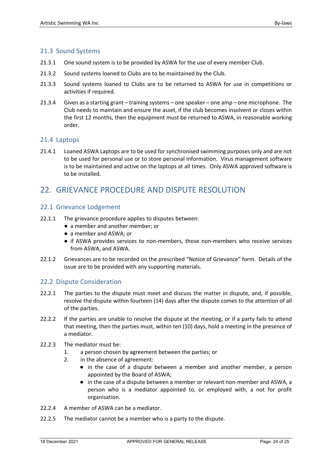### 21.3 Sound Systems

- 21.3.1 One sound system is to be provided by ASWA for the use of every member Club.
- 21.3.2 Sound systems loaned to Clubs are to be maintained by the Club.
- 21.3.3 Sound systems loaned to Clubs are to be returned to ASWA for use in competitions or activities if required.
- 21.3.4 Given as a starting grant training systems one speaker one amp one microphone. The Club needs to maintain and ensure the asset, if the club becomes insolvent or closes within the first 12 months, then the equipment must be returned to ASWA, in reasonable working order.

#### 21.4 Laptops

21.4.1 Loaned ASWA Laptops are to be used for synchronised swimming purposes only and are not to be used for personal use or to store personal information. Virus management software is to be maintained and active on the laptops at all times. Only ASWA approved software is to be installed.

# 22. GRIEVANCE PROCEDURE AND DISPUTE RESOLUTION

#### 22.1 Grievance Lodgement

- 22.1.1 The grievance procedure applies to disputes between:
	- a member and another member; or
	- a member and ASWA; or
	- if ASWA provides services to non-members, those non-members who receive services from ASWA, and ASWA.
- 22.1.2 Grievances are to be recorded on the prescribed "Notice of Grievance" form. Details of the issue are to be provided with any supporting materials.

#### 22.2 Dispute Consideration

- 22.2.1 The parties to the dispute must meet and discuss the matter in dispute, and, if possible, resolve the dispute within fourteen (14) days after the dispute comes to the attention of all of the parties.
- 22.2.2 If the parties are unable to resolve the dispute at the meeting, or if a party fails to attend that meeting, then the parties must, within ten (10) days, hold a meeting in the presence of a mediator.
- 22.2.3 The mediator must be:
	- 1. a person chosen by agreement between the parties; or
	- 2. in the absence of agreement:
		- in the case of a dispute between a member and another member, a person appointed by the Board of ASWA;
		- in the case of a dispute between a member or relevant non-member and ASWA, a person who is a mediator appointed to, or employed with, a not for profit organisation.
- 22.2.4 A member of ASWA can be a mediator.
- 22.2.5 The mediator cannot be a member who is a party to the dispute.